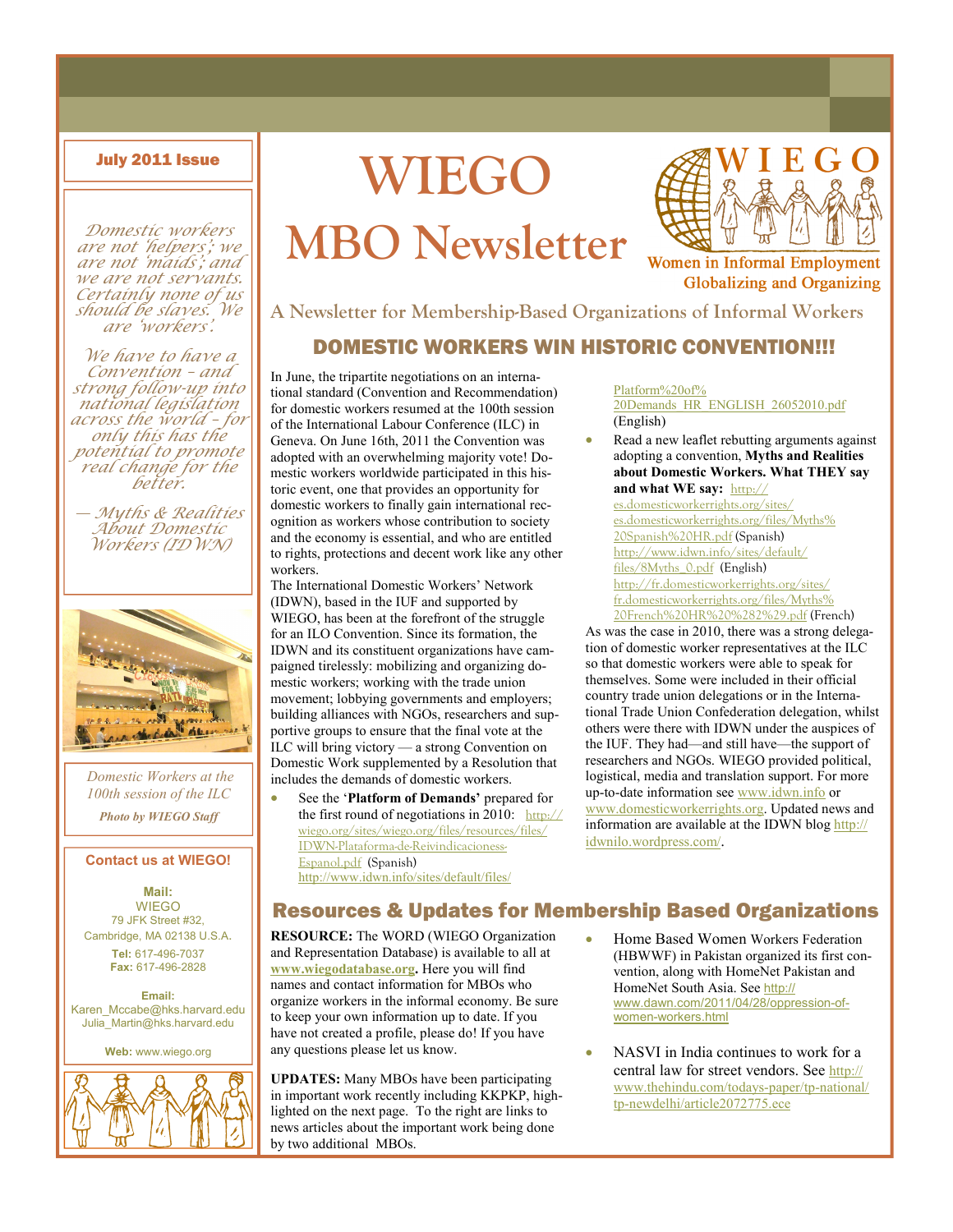Domestic workers are not 'helpers'; we are not 'maids'; and we are not servants. Certainly none of us should be slaves. We are 'workers'.

We have to have a Convention – and strong follow-up into national legislation across the world – for only this has the potential to promote real change for the better.

— Myths & Realities About Domestic Workers (IDWN)



Domestic Workers at the 100th session of the ILC

Photo by **WIEGO** Staff

#### Contact us at WIEGO!

Mail: WIEGO 79 JFK Street #32, Cambridge, MA 02138 U.S.A. Tel: 617-496-7037 Fax: 617-496-2828

Email: Karen\_Mccabe@hks.harvard.edu Julia\_Martin@hks.harvard.edu

Web: www.wiego.org



# July 2011 Issue WIEGO MBO Newsletter



**Women in Informal Employment Globalizing and Organizing** 

#### A Newsletter for Membership-Based Organizations of Informal Workers

#### DOMESTIC WORKERS WIN HISTORIC CONVENTION!!!

In June, the tripartite negotiations on an international standard (Convention and Recommendation) for domestic workers resumed at the 100th session of the International Labour Conference (ILC) in Geneva. On June 16th, 2011 the Convention was adopted with an overwhelming majority vote! Domestic workers worldwide participated in this historic event, one that provides an opportunity for domestic workers to finally gain international recognition as workers whose contribution to society and the economy is essential, and who are entitled to rights, protections and decent work like any other workers.

The International Domestic Workers' Network (IDWN), based in the IUF and supported by WIEGO, has been at the forefront of the struggle for an ILO Convention. Since its formation, the IDWN and its constituent organizations have campaigned tirelessly: mobilizing and organizing domestic workers; working with the trade union movement; lobbying governments and employers; building alliances with NGOs, researchers and supportive groups to ensure that the final vote at the ILC will bring victory — a strong Convention on Domestic Work supplemented by a Resolution that includes the demands of domestic workers.

See the 'Platform of Demands' prepared for the first round of negotiations in 2010:  $h_{\text{ttp:}/\text{/}}$ wiego.org/sites/wiego.org/files/resources/files/ IDWN-Plataforma-de-Reivindicacioness-Espanol.pdf (Spanish) http://www.idwn.info/sites/default/files/

#### Platform%20of% 20Demands\_HR\_ENGLISH\_26052010.pdf (English)

• Read a new leaflet rebutting arguments against adopting a convention, Myths and Realities about Domestic Workers. What THEY say and what WE say: http://

es.domesticworkerrights.org/sites/ es.domesticworkerrights.org/files/Myths% 20Spanish%20HR.pdf (Spanish) http://www.idwn.info/sites/default/ files/8Myths\_0.pdf (English) http://fr.domesticworkerrights.org/sites/ fr.domesticworkerrights.org/files/Myths% 20French%20HR%20%282%29.pdf (French)

As was the case in 2010, there was a strong delegation of domestic worker representatives at the ILC so that domestic workers were able to speak for themselves. Some were included in their official country trade union delegations or in the International Trade Union Confederation delegation, whilst others were there with IDWN under the auspices of the IUF. They had—and still have—the support of researchers and NGOs. WIEGO provided political, logistical, media and translation support. For more up-to-date information see www.idwn.info or www.domesticworkerrights.org. Updated news and information are available at the IDWN blog http:// idwnilo.wordpress.com/.

#### Resources & Updates for Membership Based Organizations

RESOURCE: The WORD (WIEGO Organization and Representation Database) is available to all at www.wiegodatabase.org. Here you will find names and contact information for MBOs who organize workers in the informal economy. Be sure to keep your own information up to date. If you have not created a profile, please do! If you have any questions please let us know.

UPDATES: Many MBOs have been participating in important work recently including KKPKP, highlighted on the next page. To the right are links to news articles about the important work being done by two additional MBOs.

- Home Based Women Workers Federation (HBWWF) in Pakistan organized its first convention, along with HomeNet Pakistan and HomeNet South Asia. See http:// www.dawn.com/2011/04/28/oppression-ofwomen-workers.html
- NASVI in India continues to work for a central law for street vendors. See http:// www.thehindu.com/todays-paper/tp-national/ tp-newdelhi/article2072775.ece